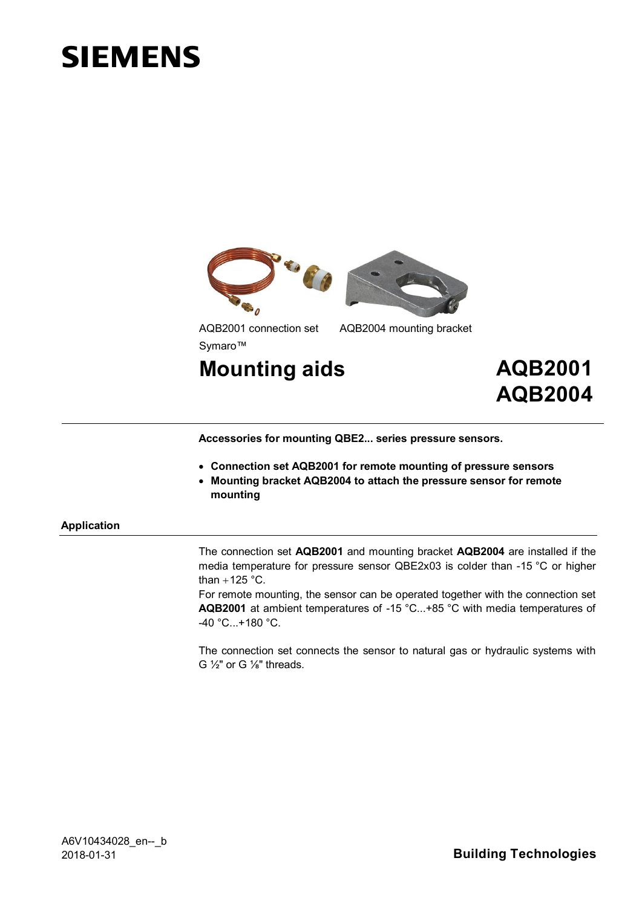# **SIEMENS**



AQB2001 connection set AQB2004 mounting bracket Symaro™

**Mounting aids AQB2001**

 **AQB2004**

**Accessories for mounting QBE2... series pressure sensors.**

- x **Connection set AQB2001 for remote mounting of pressure sensors**
- **Mounting bracket AQB2004 to attach the pressure sensor for remote mounting**

#### **Application**

The connection set **AQB2001** and mounting bracket **AQB2004** are installed if the media temperature for pressure sensor QBE2x03 is colder than -15 °C or higher than  $+125$  °C.

For remote mounting, the sensor can be operated together with the connection set **AQB2001** at ambient temperatures of -15 °C...+85 °C with media temperatures of -40 °C...+180 °C.

The connection set connects the sensor to natural gas or hydraulic systems with G  $\frac{1}{2}$ " or G  $\frac{1}{8}$ " threads.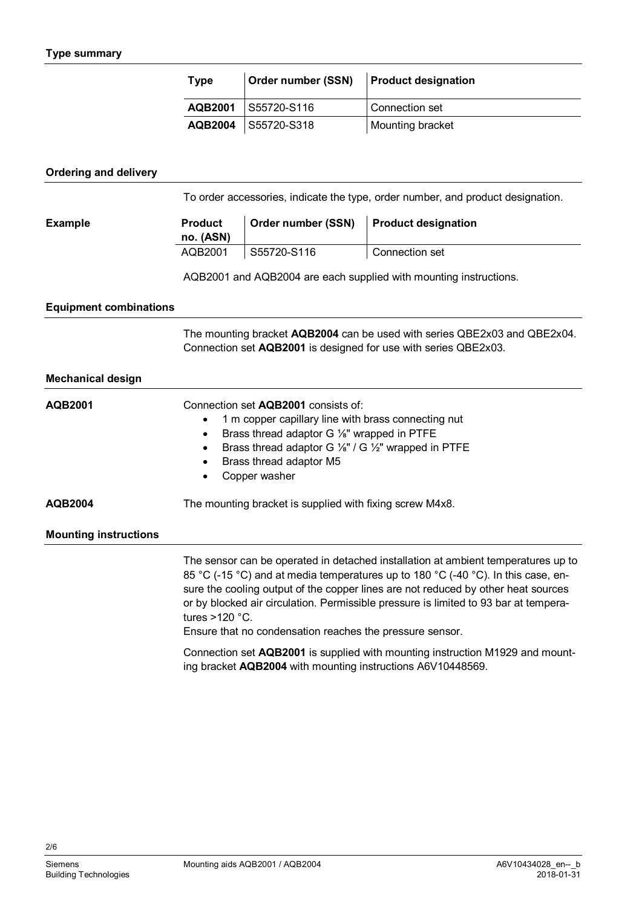| <b>Type</b> | Order number (SSN)    | <b>Product designation</b> |
|-------------|-----------------------|----------------------------|
|             | AQB2001   S55720-S116 | Connection set             |
|             | AQB2004 S55720-S318   | Mounting bracket           |

## **Ordering and delivery**

To order accessories, indicate the type, order number, and product designation.

**Example**

| <b>Product</b><br>no. (ASN) | Order number (SSN) Product designation |                |
|-----------------------------|----------------------------------------|----------------|
| AQB2001                     | S55720-S116                            | Connection set |

AQB2001 and AQB2004 are each supplied with mounting instructions.

### **Equipment combinations**

The mounting bracket **AQB2004** can be used with series QBE2x03 and QBE2x04. Connection set **AQB2001** is designed for use with series QBE2x03.

# **Mechanical design**

| <b>AQB2001</b>               | Connection set AQB2001 consists of:<br>1 m copper capillary line with brass connecting nut<br>Brass thread adaptor G 1/ <sub>8</sub> " wrapped in PTFE<br>٠<br>Brass thread adaptor G $\frac{1}{8}$ " / G $\frac{1}{2}$ " wrapped in PTFE<br>Brass thread adaptor M5<br>Copper washer                                                               |  |
|------------------------------|-----------------------------------------------------------------------------------------------------------------------------------------------------------------------------------------------------------------------------------------------------------------------------------------------------------------------------------------------------|--|
| AQB2004                      | The mounting bracket is supplied with fixing screw M4x8.                                                                                                                                                                                                                                                                                            |  |
| <b>Mounting instructions</b> |                                                                                                                                                                                                                                                                                                                                                     |  |
|                              | The sensor can be operated in detached installation at ambient temperatures up to<br>85 °C (-15 °C) and at media temperatures up to 180 °C (-40 °C). In this case, en-<br>sure the cooling output of the copper lines are not reduced by other heat sources<br>or by blocked air circulation. Permissible pressure is limited to 93 bar at tempera- |  |

Ensure that no condensation reaches the pressure sensor.

Connection set **AQB2001** is supplied with mounting instruction M1929 and mounting bracket **AQB2004** with mounting instructions A6V10448569.

2/6

tures >120 °C.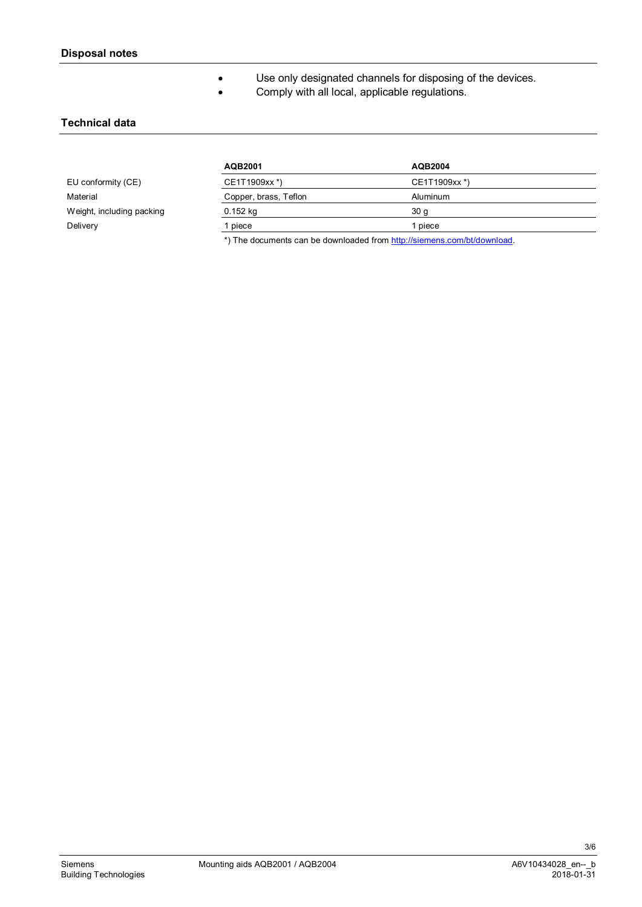**•** Use only designated channels for disposing of the devices.

**•** Comply with all local, applicable regulations.

## **Technical data**

|                           | AQB2001               | AQB2004         |
|---------------------------|-----------------------|-----------------|
| EU conformity (CE)        | CE1T1909xx*)          | CE1T1909xx *)   |
| Material                  | Copper, brass, Teflon | Aluminum        |
| Weight, including packing | $0.152$ kg            | 30 <sub>q</sub> |
| Delivery                  | piece                 | piece           |

\*) The documents can be downloaded from [http://siemens.com/bt/download.](http://siemens.com/bt/download)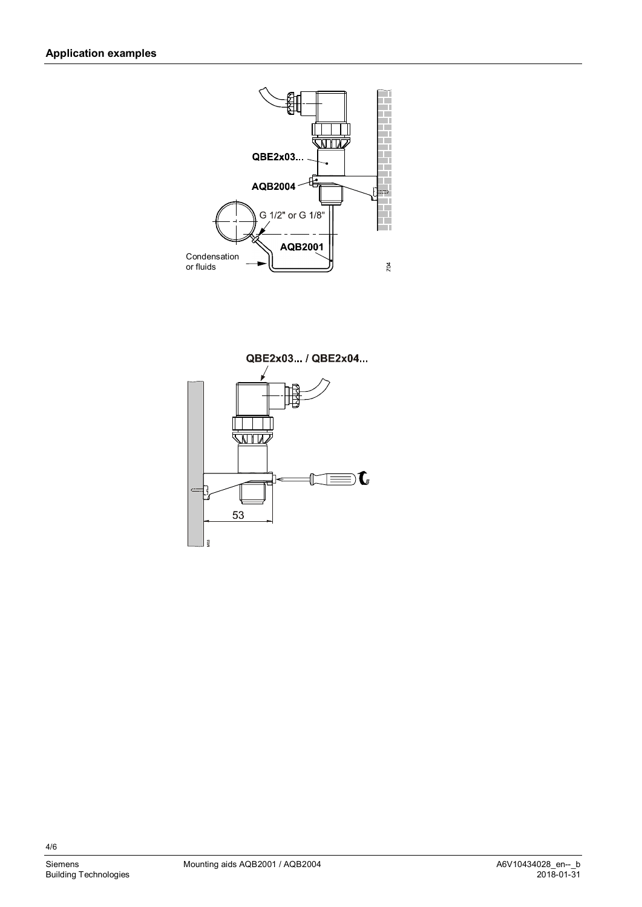



4/6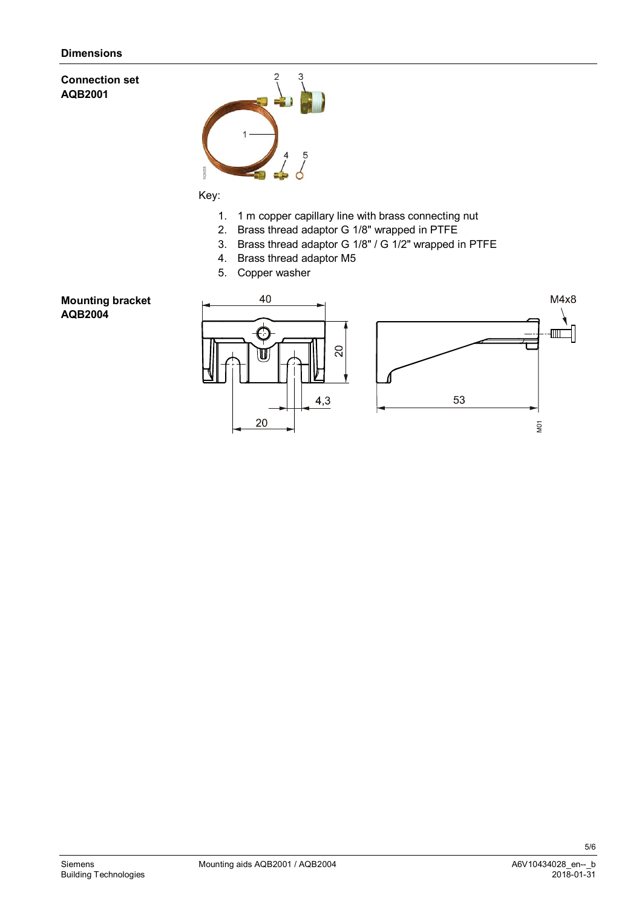## **Connection set AQB2001**



## Key:

- 1. 1 m copper capillary line with brass connecting nut
- 2. Brass thread adaptor G 1/8" wrapped in PTFE
- 3. Brass thread adaptor G 1/8" / G 1/2" wrapped in PTFE
- 4. Brass thread adaptor M5
- 5. Copper washer

## **Mounting bracket AQB2004**



5/6